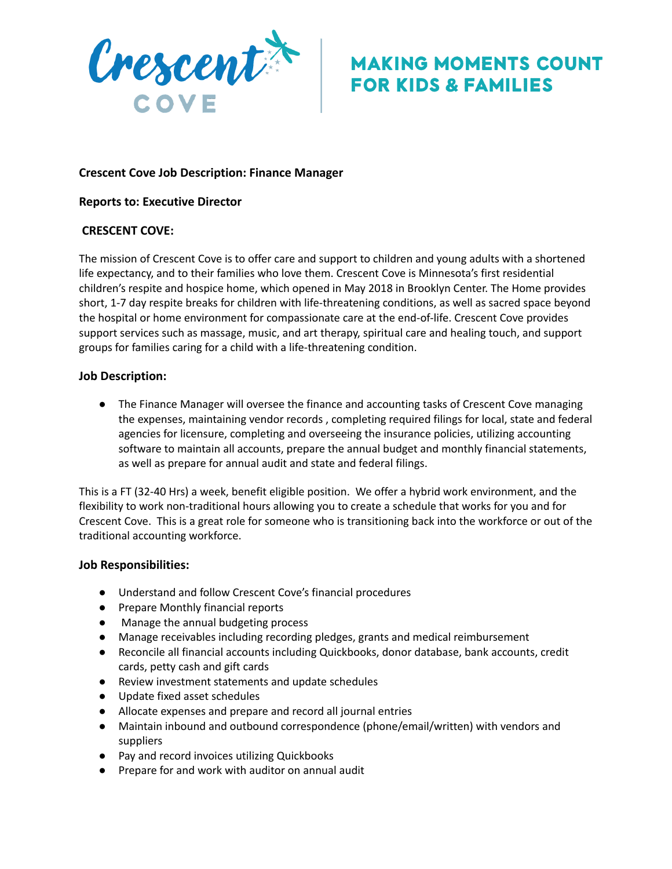

# **MAKING MOMENTS COUNT FOR KIDS & FAMILIES**

# **Crescent Cove Job Description: Finance Manager**

### **Reports to: Executive Director**

## **CRESCENT COVE:**

The mission of Crescent Cove is to offer care and support to children and young adults with a shortened life expectancy, and to their families who love them. Crescent Cove is Minnesota's first residential children's respite and hospice home, which opened in May 2018 in Brooklyn Center. The Home provides short, 1-7 day respite breaks for children with life-threatening conditions, as well as sacred space beyond the hospital or home environment for compassionate care at the end-of-life. Crescent Cove provides support services such as massage, music, and art therapy, spiritual care and healing touch, and support groups for families caring for a child with a life-threatening condition.

#### **Job Description:**

● The Finance Manager will oversee the finance and accounting tasks of Crescent Cove managing the expenses, maintaining vendor records , completing required filings for local, state and federal agencies for licensure, completing and overseeing the insurance policies, utilizing accounting software to maintain all accounts, prepare the annual budget and monthly financial statements, as well as prepare for annual audit and state and federal filings.

This is a FT (32-40 Hrs) a week, benefit eligible position. We offer a hybrid work environment, and the flexibility to work non-traditional hours allowing you to create a schedule that works for you and for Crescent Cove. This is a great role for someone who is transitioning back into the workforce or out of the traditional accounting workforce.

#### **Job Responsibilities:**

- Understand and follow Crescent Cove's financial procedures
- Prepare Monthly financial reports
- Manage the annual budgeting process
- Manage receivables including recording pledges, grants and medical reimbursement
- Reconcile all financial accounts including Quickbooks, donor database, bank accounts, credit cards, petty cash and gift cards
- Review investment statements and update schedules
- Update fixed asset schedules
- Allocate expenses and prepare and record all journal entries
- Maintain inbound and outbound correspondence (phone/email/written) with vendors and suppliers
- Pay and record invoices utilizing Quickbooks
- Prepare for and work with auditor on annual audit